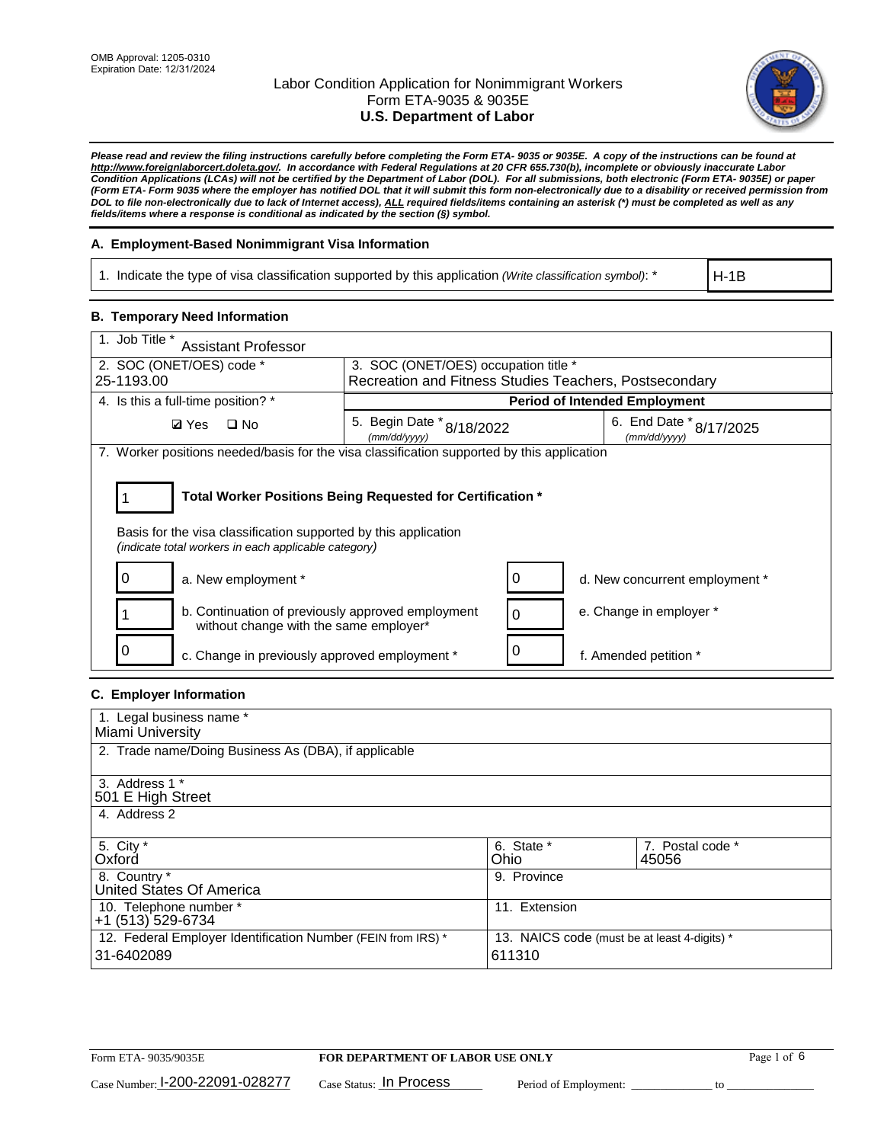

*Please read and review the filing instructions carefully before completing the Form ETA- 9035 or 9035E. A copy of the instructions can be found at [http://www.foreignlaborcert.doleta.gov/.](http://www.foreignlaborcert.doleta.gov/) In accordance with Federal Regulations at 20 CFR 655.730(b), incomplete or obviously inaccurate Labor Condition Applications (LCAs) will not be certified by the Department of Labor (DOL). For all submissions, both electronic (Form ETA- 9035E) or paper (Form ETA- Form 9035 where the employer has notified DOL that it will submit this form non-electronically due to a disability or received permission from DOL to file non-electronically due to lack of Internet access), ALL required fields/items containing an asterisk (\*) must be completed as well as any fields/items where a response is conditional as indicated by the section (§) symbol.* 

### **A. Employment-Based Nonimmigrant Visa Information**

1. Indicate the type of visa classification supported by this application *(Write classification symbol)*: \*

H-1B

### **B. Temporary Need Information**

| 1. Job Title *<br><b>Assistant Professor</b>                                                                                                                                          |                                                        |   |                                         |  |
|---------------------------------------------------------------------------------------------------------------------------------------------------------------------------------------|--------------------------------------------------------|---|-----------------------------------------|--|
| 2. SOC (ONET/OES) code *                                                                                                                                                              | 3. SOC (ONET/OES) occupation title *                   |   |                                         |  |
| 25-1193.00                                                                                                                                                                            | Recreation and Fitness Studies Teachers, Postsecondary |   |                                         |  |
| 4. Is this a full-time position? *                                                                                                                                                    |                                                        |   | <b>Period of Intended Employment</b>    |  |
| <b>Ø</b> Yes<br>$\square$ No                                                                                                                                                          | 5. Begin Date $*_{8/18/2022}$<br>(mm/dd/yyyy)          |   | 6. End Date * 8/17/2025<br>(mm/dd/yyyy) |  |
| 7. Worker positions needed/basis for the visa classification supported by this application                                                                                            |                                                        |   |                                         |  |
| Total Worker Positions Being Requested for Certification *<br>Basis for the visa classification supported by this application<br>(indicate total workers in each applicable category) |                                                        |   |                                         |  |
| a. New employment *                                                                                                                                                                   |                                                        |   | d. New concurrent employment *          |  |
| b. Continuation of previously approved employment<br>without change with the same employer*                                                                                           |                                                        |   | e. Change in employer *                 |  |
| c. Change in previously approved employment *                                                                                                                                         |                                                        | 0 | f. Amended petition *                   |  |

# **C. Employer Information**

| 1. Legal business name *                                     |                                              |                  |
|--------------------------------------------------------------|----------------------------------------------|------------------|
| Miami University                                             |                                              |                  |
| 2. Trade name/Doing Business As (DBA), if applicable         |                                              |                  |
|                                                              |                                              |                  |
| 3. Address 1 *                                               |                                              |                  |
| 501 E High Street                                            |                                              |                  |
| 4. Address 2                                                 |                                              |                  |
|                                                              |                                              |                  |
| 5. City *                                                    | 6. State *                                   | 7. Postal code * |
| Oxford                                                       | Ohio                                         | 45056            |
| 8. Country *                                                 | 9. Province                                  |                  |
| United States Of America                                     |                                              |                  |
| 10. Telephone number *                                       | 11. Extension                                |                  |
| +1 (513) 529-6734                                            |                                              |                  |
| 12. Federal Employer Identification Number (FEIN from IRS) * | 13. NAICS code (must be at least 4-digits) * |                  |
| 31-6402089                                                   | 611310                                       |                  |
|                                                              |                                              |                  |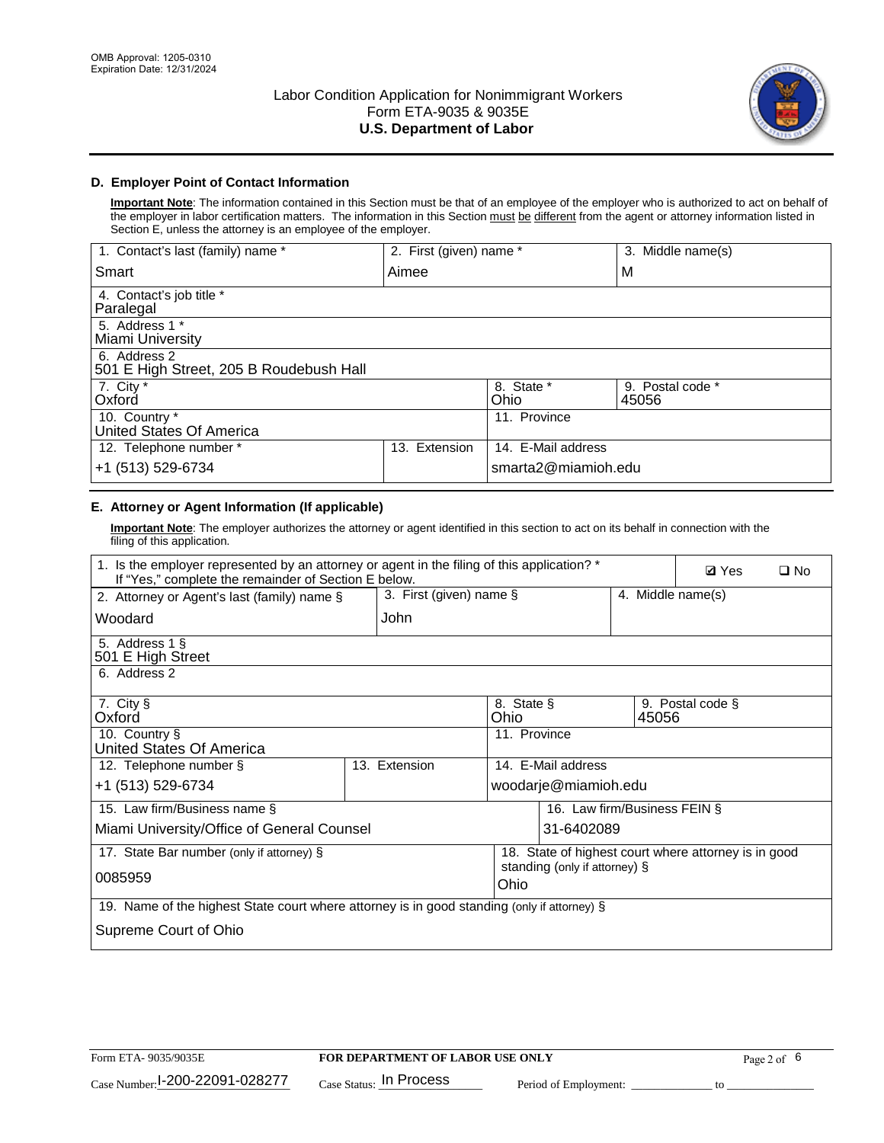

## **D. Employer Point of Contact Information**

**Important Note**: The information contained in this Section must be that of an employee of the employer who is authorized to act on behalf of the employer in labor certification matters. The information in this Section must be different from the agent or attorney information listed in Section E, unless the attorney is an employee of the employer.

| 1. Contact's last (family) name *                       | 2. First (given) name * |                     | 3. Middle name(s)         |
|---------------------------------------------------------|-------------------------|---------------------|---------------------------|
| Smart                                                   | Aimee                   |                     | M                         |
| 4. Contact's job title *<br>Paralegal                   |                         |                     |                           |
| 5. Address 1 *<br>Miami University                      |                         |                     |                           |
| 6. Address 2<br>501 E High Street, 205 B Roudebush Hall |                         |                     |                           |
| 7. City *<br>Oxford                                     |                         | 8. State *<br>Ohio  | 9. Postal code *<br>45056 |
| 10. Country *<br>United States Of America               |                         | 11. Province        |                           |
| 12. Telephone number *                                  | Extension<br>13.        | 14. E-Mail address  |                           |
| +1 (513) 529-6734                                       |                         | smarta2@miamioh.edu |                           |

# **E. Attorney or Agent Information (If applicable)**

**Important Note**: The employer authorizes the attorney or agent identified in this section to act on its behalf in connection with the filing of this application.

| 1. Is the employer represented by an attorney or agent in the filing of this application? *<br>If "Yes," complete the remainder of Section E below. |                                                          |                                                      |                              |                   | <b>Ø</b> Yes     | $\Box$ No |
|-----------------------------------------------------------------------------------------------------------------------------------------------------|----------------------------------------------------------|------------------------------------------------------|------------------------------|-------------------|------------------|-----------|
| 2. Attorney or Agent's last (family) name §                                                                                                         | 3. First (given) name §                                  |                                                      |                              | 4. Middle name(s) |                  |           |
| Woodard                                                                                                                                             | John                                                     |                                                      |                              |                   |                  |           |
| 5. Address 1 §<br>501 E High Street                                                                                                                 |                                                          |                                                      |                              |                   |                  |           |
| 6. Address 2                                                                                                                                        |                                                          |                                                      |                              |                   |                  |           |
| 7. City §<br>Oxford                                                                                                                                 |                                                          | 8. State §<br>Ohio                                   |                              | 45056             | 9. Postal code § |           |
| 10. Country §<br>11. Province<br>United States Of America                                                                                           |                                                          |                                                      |                              |                   |                  |           |
| 12. Telephone number §                                                                                                                              | 13. Extension                                            |                                                      | 14. E-Mail address           |                   |                  |           |
| +1 (513) 529-6734                                                                                                                                   |                                                          |                                                      | woodarje@miamioh.edu         |                   |                  |           |
| 15. Law firm/Business name §                                                                                                                        |                                                          |                                                      | 16. Law firm/Business FEIN § |                   |                  |           |
|                                                                                                                                                     | Miami University/Office of General Counsel<br>31-6402089 |                                                      |                              |                   |                  |           |
| 17. State Bar number (only if attorney) §                                                                                                           |                                                          | 18. State of highest court where attorney is in good |                              |                   |                  |           |
| 0085959                                                                                                                                             |                                                          | standing (only if attorney) §<br>Ohio                |                              |                   |                  |           |
| 19. Name of the highest State court where attorney is in good standing (only if attorney) §                                                         |                                                          |                                                      |                              |                   |                  |           |
| Supreme Court of Ohio                                                                                                                               |                                                          |                                                      |                              |                   |                  |           |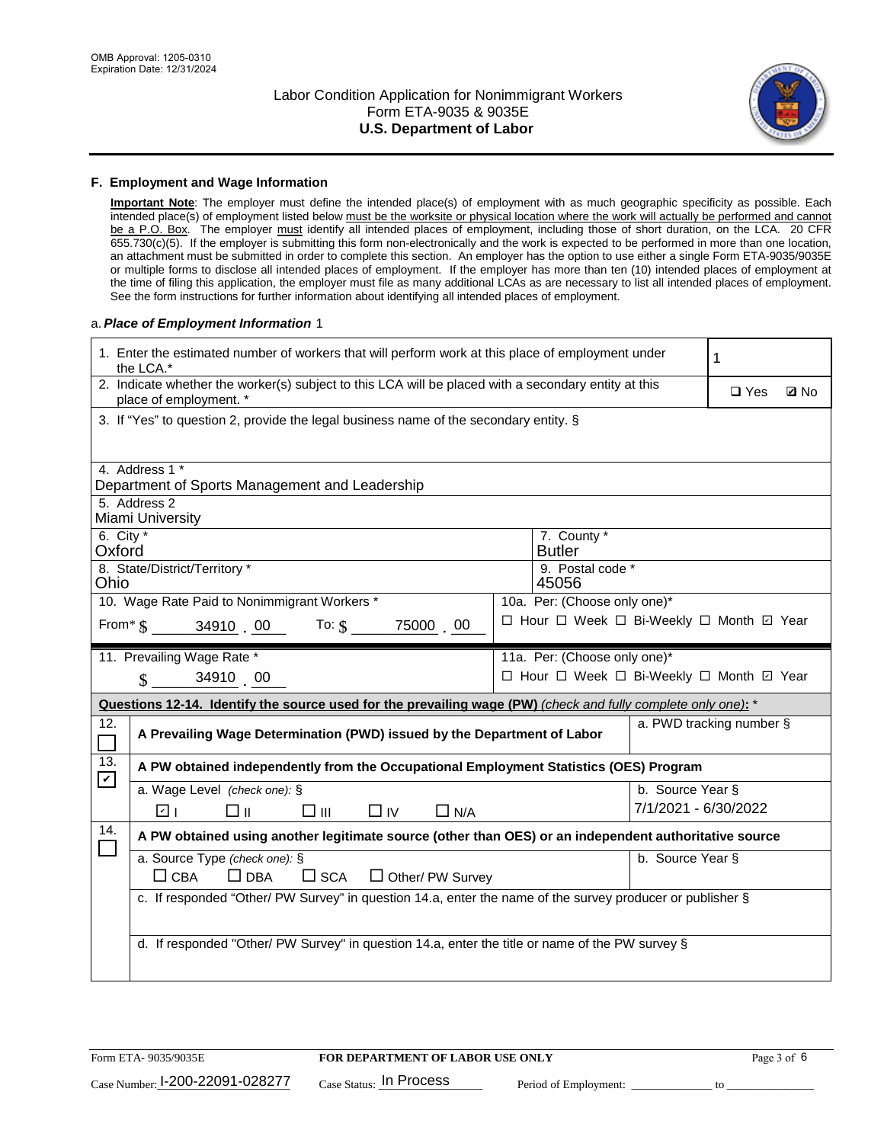

#### **F. Employment and Wage Information**

**Important Note**: The employer must define the intended place(s) of employment with as much geographic specificity as possible. Each intended place(s) of employment listed below must be the worksite or physical location where the work will actually be performed and cannot be a P.O. Box. The employer must identify all intended places of employment, including those of short duration, on the LCA. 20 CFR 655.730(c)(5). If the employer is submitting this form non-electronically and the work is expected to be performed in more than one location, an attachment must be submitted in order to complete this section. An employer has the option to use either a single Form ETA-9035/9035E or multiple forms to disclose all intended places of employment. If the employer has more than ten (10) intended places of employment at the time of filing this application, the employer must file as many additional LCAs as are necessary to list all intended places of employment. See the form instructions for further information about identifying all intended places of employment.

#### a.*Place of Employment Information* 1

|                       | 1. Enter the estimated number of workers that will perform work at this place of employment under<br>1<br>the LCA.*            |  |                              |                      |                                          |             |  |  |
|-----------------------|--------------------------------------------------------------------------------------------------------------------------------|--|------------------------------|----------------------|------------------------------------------|-------------|--|--|
|                       | 2. Indicate whether the worker(s) subject to this LCA will be placed with a secondary entity at this<br>place of employment. * |  |                              |                      |                                          | <b>Z</b> No |  |  |
|                       | 3. If "Yes" to question 2, provide the legal business name of the secondary entity. §                                          |  |                              |                      |                                          |             |  |  |
|                       | 4. Address 1 *                                                                                                                 |  |                              |                      |                                          |             |  |  |
|                       | Department of Sports Management and Leadership                                                                                 |  |                              |                      |                                          |             |  |  |
|                       | 5. Address 2<br>Miami University                                                                                               |  |                              |                      |                                          |             |  |  |
| 6. City $*$<br>Oxford |                                                                                                                                |  | 7. County *<br><b>Butler</b> |                      |                                          |             |  |  |
| Ohio                  | 8. State/District/Territory *                                                                                                  |  | 9. Postal code *<br>45056    |                      |                                          |             |  |  |
|                       | 10. Wage Rate Paid to Nonimmigrant Workers *                                                                                   |  | 10a. Per: (Choose only one)* |                      |                                          |             |  |  |
|                       | From $\frac{1}{2}$ 34910 $\frac{00}{100}$ To: $\frac{2}{2}$<br>75000 00                                                        |  |                              |                      | □ Hour □ Week □ Bi-Weekly □ Month ☑ Year |             |  |  |
|                       | 11. Prevailing Wage Rate *                                                                                                     |  | 11a. Per: (Choose only one)* |                      |                                          |             |  |  |
|                       | 34910 00<br>$\mathcal{S}$                                                                                                      |  |                              |                      | □ Hour □ Week □ Bi-Weekly □ Month 回 Year |             |  |  |
|                       | Questions 12-14. Identify the source used for the prevailing wage (PW) (check and fully complete only one): *                  |  |                              |                      |                                          |             |  |  |
| 12.                   | a. PWD tracking number §<br>A Prevailing Wage Determination (PWD) issued by the Department of Labor                            |  |                              |                      |                                          |             |  |  |
| П                     |                                                                                                                                |  |                              |                      |                                          |             |  |  |
| 13.                   | A PW obtained independently from the Occupational Employment Statistics (OES) Program                                          |  |                              |                      |                                          |             |  |  |
| $\mathbf v$           | a. Wage Level (check one): §                                                                                                   |  |                              | b. Source Year §     |                                          |             |  |  |
|                       | ☑ ।<br>□⊪<br>□⊪<br>$\Box$ IV<br>$\Box$ N/A                                                                                     |  |                              | 7/1/2021 - 6/30/2022 |                                          |             |  |  |
| 14.                   | A PW obtained using another legitimate source (other than OES) or an independent authoritative source                          |  |                              |                      |                                          |             |  |  |
|                       | a. Source Type (check one): §                                                                                                  |  |                              | b. Source Year §     |                                          |             |  |  |
|                       | $\Box$ CBA<br>$\Box$ DBA<br>$\square$ SCA<br>$\Box$ Other/ PW Survey                                                           |  |                              |                      |                                          |             |  |  |
|                       | c. If responded "Other/ PW Survey" in question 14.a, enter the name of the survey producer or publisher §                      |  |                              |                      |                                          |             |  |  |
|                       |                                                                                                                                |  |                              |                      |                                          |             |  |  |
|                       | d. If responded "Other/ PW Survey" in question 14.a, enter the title or name of the PW survey §                                |  |                              |                      |                                          |             |  |  |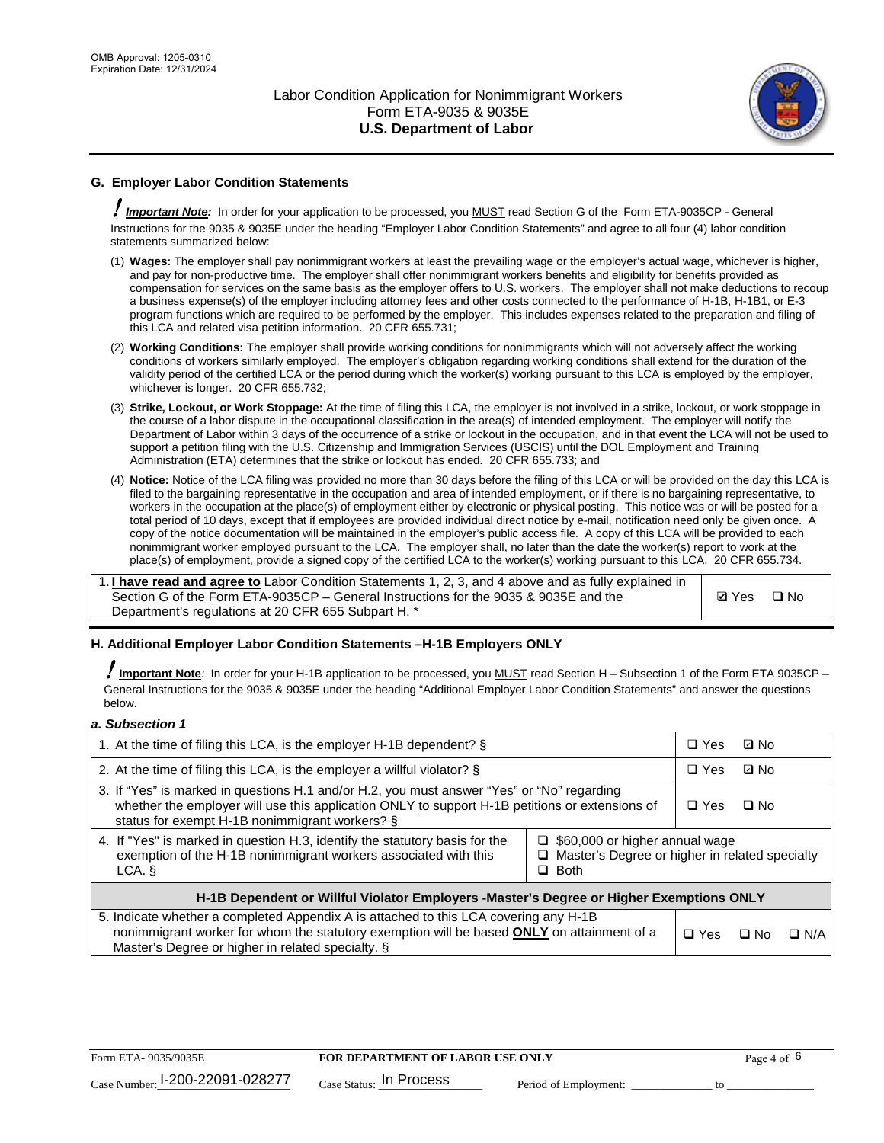

# **G. Employer Labor Condition Statements**

! *Important Note:* In order for your application to be processed, you MUST read Section G of the Form ETA-9035CP - General Instructions for the 9035 & 9035E under the heading "Employer Labor Condition Statements" and agree to all four (4) labor condition statements summarized below:

- (1) **Wages:** The employer shall pay nonimmigrant workers at least the prevailing wage or the employer's actual wage, whichever is higher, and pay for non-productive time. The employer shall offer nonimmigrant workers benefits and eligibility for benefits provided as compensation for services on the same basis as the employer offers to U.S. workers. The employer shall not make deductions to recoup a business expense(s) of the employer including attorney fees and other costs connected to the performance of H-1B, H-1B1, or E-3 program functions which are required to be performed by the employer. This includes expenses related to the preparation and filing of this LCA and related visa petition information. 20 CFR 655.731;
- (2) **Working Conditions:** The employer shall provide working conditions for nonimmigrants which will not adversely affect the working conditions of workers similarly employed. The employer's obligation regarding working conditions shall extend for the duration of the validity period of the certified LCA or the period during which the worker(s) working pursuant to this LCA is employed by the employer, whichever is longer. 20 CFR 655.732;
- (3) **Strike, Lockout, or Work Stoppage:** At the time of filing this LCA, the employer is not involved in a strike, lockout, or work stoppage in the course of a labor dispute in the occupational classification in the area(s) of intended employment. The employer will notify the Department of Labor within 3 days of the occurrence of a strike or lockout in the occupation, and in that event the LCA will not be used to support a petition filing with the U.S. Citizenship and Immigration Services (USCIS) until the DOL Employment and Training Administration (ETA) determines that the strike or lockout has ended. 20 CFR 655.733; and
- (4) **Notice:** Notice of the LCA filing was provided no more than 30 days before the filing of this LCA or will be provided on the day this LCA is filed to the bargaining representative in the occupation and area of intended employment, or if there is no bargaining representative, to workers in the occupation at the place(s) of employment either by electronic or physical posting. This notice was or will be posted for a total period of 10 days, except that if employees are provided individual direct notice by e-mail, notification need only be given once. A copy of the notice documentation will be maintained in the employer's public access file. A copy of this LCA will be provided to each nonimmigrant worker employed pursuant to the LCA. The employer shall, no later than the date the worker(s) report to work at the place(s) of employment, provide a signed copy of the certified LCA to the worker(s) working pursuant to this LCA. 20 CFR 655.734.

1. **I have read and agree to** Labor Condition Statements 1, 2, 3, and 4 above and as fully explained in Section G of the Form ETA-9035CP – General Instructions for the 9035 & 9035E and the Department's regulations at 20 CFR 655 Subpart H. \*

**Ø**Yes ロNo

### **H. Additional Employer Labor Condition Statements –H-1B Employers ONLY**

!**Important Note***:* In order for your H-1B application to be processed, you MUST read Section H – Subsection 1 of the Form ETA 9035CP – General Instructions for the 9035 & 9035E under the heading "Additional Employer Labor Condition Statements" and answer the questions below.

#### *a. Subsection 1*

| 1. At the time of filing this LCA, is the employer H-1B dependent? §                                                                                                                                                                                                    |  |  | ⊡ No      |            |
|-------------------------------------------------------------------------------------------------------------------------------------------------------------------------------------------------------------------------------------------------------------------------|--|--|-----------|------------|
| 2. At the time of filing this LCA, is the employer a willful violator? $\S$                                                                                                                                                                                             |  |  | ⊡ No      |            |
| 3. If "Yes" is marked in questions H.1 and/or H.2, you must answer "Yes" or "No" regarding<br>whether the employer will use this application ONLY to support H-1B petitions or extensions of<br>status for exempt H-1B nonimmigrant workers? §                          |  |  | $\Box$ No |            |
| 4. If "Yes" is marked in question H.3, identify the statutory basis for the<br>$\Box$ \$60,000 or higher annual wage<br>exemption of the H-1B nonimmigrant workers associated with this<br>$\Box$ Master's Degree or higher in related specialty<br>$\Box$ Both<br>LCA. |  |  |           |            |
| H-1B Dependent or Willful Violator Employers -Master's Degree or Higher Exemptions ONLY                                                                                                                                                                                 |  |  |           |            |
| 5. Indicate whether a completed Appendix A is attached to this LCA covering any H-1B<br>nonimmigrant worker for whom the statutory exemption will be based <b>ONLY</b> on attainment of a<br>Master's Degree or higher in related specialty. §                          |  |  | ⊡ No      | $\Box$ N/A |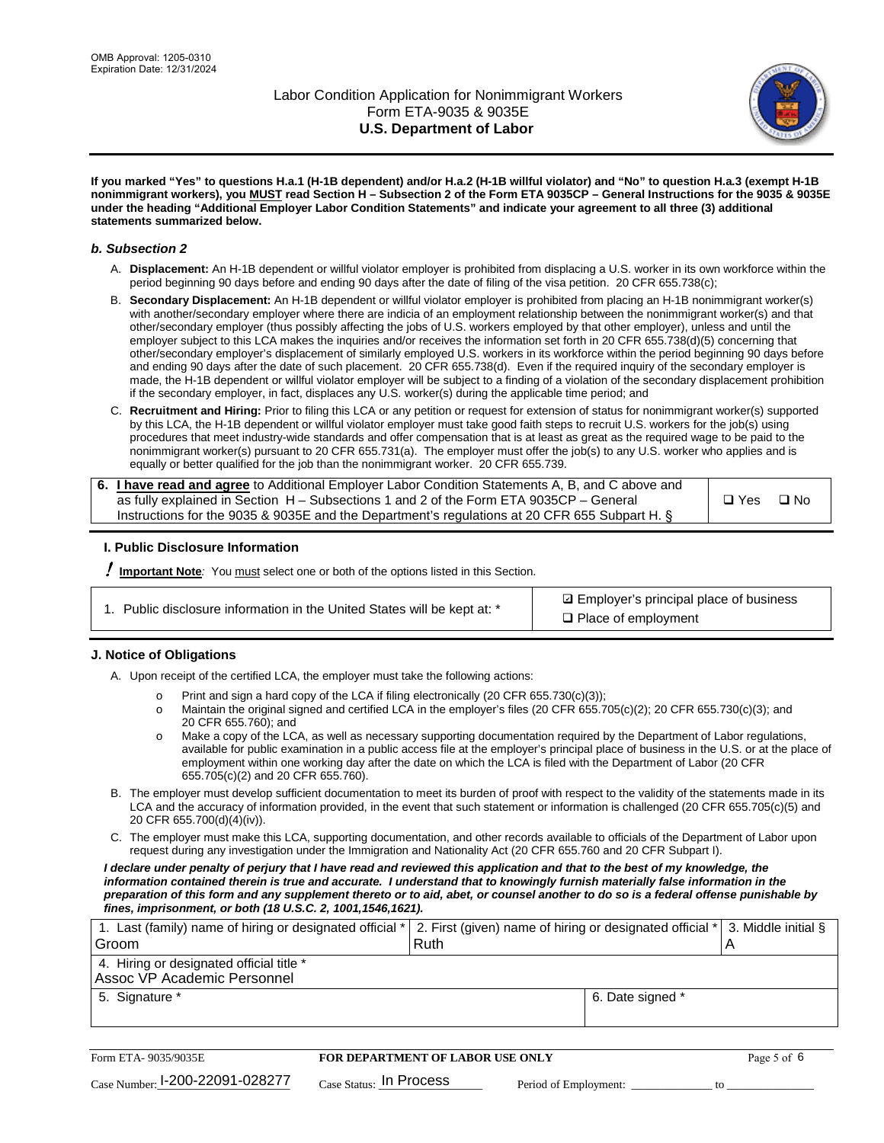

**If you marked "Yes" to questions H.a.1 (H-1B dependent) and/or H.a.2 (H-1B willful violator) and "No" to question H.a.3 (exempt H-1B nonimmigrant workers), you MUST read Section H – Subsection 2 of the Form ETA 9035CP – General Instructions for the 9035 & 9035E under the heading "Additional Employer Labor Condition Statements" and indicate your agreement to all three (3) additional statements summarized below.**

#### *b. Subsection 2*

- A. **Displacement:** An H-1B dependent or willful violator employer is prohibited from displacing a U.S. worker in its own workforce within the period beginning 90 days before and ending 90 days after the date of filing of the visa petition. 20 CFR 655.738(c);
- B. **Secondary Displacement:** An H-1B dependent or willful violator employer is prohibited from placing an H-1B nonimmigrant worker(s) with another/secondary employer where there are indicia of an employment relationship between the nonimmigrant worker(s) and that other/secondary employer (thus possibly affecting the jobs of U.S. workers employed by that other employer), unless and until the employer subject to this LCA makes the inquiries and/or receives the information set forth in 20 CFR 655.738(d)(5) concerning that other/secondary employer's displacement of similarly employed U.S. workers in its workforce within the period beginning 90 days before and ending 90 days after the date of such placement. 20 CFR 655.738(d). Even if the required inquiry of the secondary employer is made, the H-1B dependent or willful violator employer will be subject to a finding of a violation of the secondary displacement prohibition if the secondary employer, in fact, displaces any U.S. worker(s) during the applicable time period; and
- C. **Recruitment and Hiring:** Prior to filing this LCA or any petition or request for extension of status for nonimmigrant worker(s) supported by this LCA, the H-1B dependent or willful violator employer must take good faith steps to recruit U.S. workers for the job(s) using procedures that meet industry-wide standards and offer compensation that is at least as great as the required wage to be paid to the nonimmigrant worker(s) pursuant to 20 CFR 655.731(a). The employer must offer the job(s) to any U.S. worker who applies and is equally or better qualified for the job than the nonimmigrant worker. 20 CFR 655.739.

| 6. I have read and agree to Additional Employer Labor Condition Statements A, B, and C above and |       |           |
|--------------------------------------------------------------------------------------------------|-------|-----------|
| as fully explained in Section H – Subsections 1 and 2 of the Form ETA 9035CP – General           | □ Yes | $\Box$ No |
| Instructions for the 9035 & 9035 E and the Department's regulations at 20 CFR 655 Subpart H. §   |       |           |

### **I. Public Disclosure Information**

! **Important Note***:* You must select one or both of the options listed in this Section.

**sqrt** Employer's principal place of business □ Place of employment

### **J. Notice of Obligations**

A. Upon receipt of the certified LCA, the employer must take the following actions:

- o Print and sign a hard copy of the LCA if filing electronically (20 CFR 655.730(c)(3));<br>
Maintain the original signed and certified LCA in the employer's files (20 CFR 655.7
- Maintain the original signed and certified LCA in the employer's files (20 CFR 655.705(c)(2); 20 CFR 655.730(c)(3); and 20 CFR 655.760); and
- o Make a copy of the LCA, as well as necessary supporting documentation required by the Department of Labor regulations, available for public examination in a public access file at the employer's principal place of business in the U.S. or at the place of employment within one working day after the date on which the LCA is filed with the Department of Labor (20 CFR 655.705(c)(2) and 20 CFR 655.760).
- B. The employer must develop sufficient documentation to meet its burden of proof with respect to the validity of the statements made in its LCA and the accuracy of information provided, in the event that such statement or information is challenged (20 CFR 655.705(c)(5) and 20 CFR 655.700(d)(4)(iv)).
- C. The employer must make this LCA, supporting documentation, and other records available to officials of the Department of Labor upon request during any investigation under the Immigration and Nationality Act (20 CFR 655.760 and 20 CFR Subpart I).

*I declare under penalty of perjury that I have read and reviewed this application and that to the best of my knowledge, the*  information contained therein is true and accurate. I understand that to knowingly furnish materially false information in the *preparation of this form and any supplement thereto or to aid, abet, or counsel another to do so is a federal offense punishable by fines, imprisonment, or both (18 U.S.C. 2, 1001,1546,1621).*

| 1. Last (family) name of hiring or designated official * 2. First (given) name of hiring or designated official * 3. Middle initial § |      |                  |  |
|---------------------------------------------------------------------------------------------------------------------------------------|------|------------------|--|
| Groom                                                                                                                                 | Ruth |                  |  |
| 4. Hiring or designated official title *                                                                                              |      |                  |  |
| Assoc VP Academic Personnel                                                                                                           |      |                  |  |
| 5. Signature *                                                                                                                        |      | 6. Date signed * |  |
|                                                                                                                                       |      |                  |  |

| Form ETA- 9035/9035E            | FOR DEPARTMENT OF LABOR USE ONLY    |                       | Page 5 of 6 |  |
|---------------------------------|-------------------------------------|-----------------------|-------------|--|
| Case Number: 1-200-22091-028277 | $_{\text{Case Status:}}$ In Process | Period of Employment: |             |  |